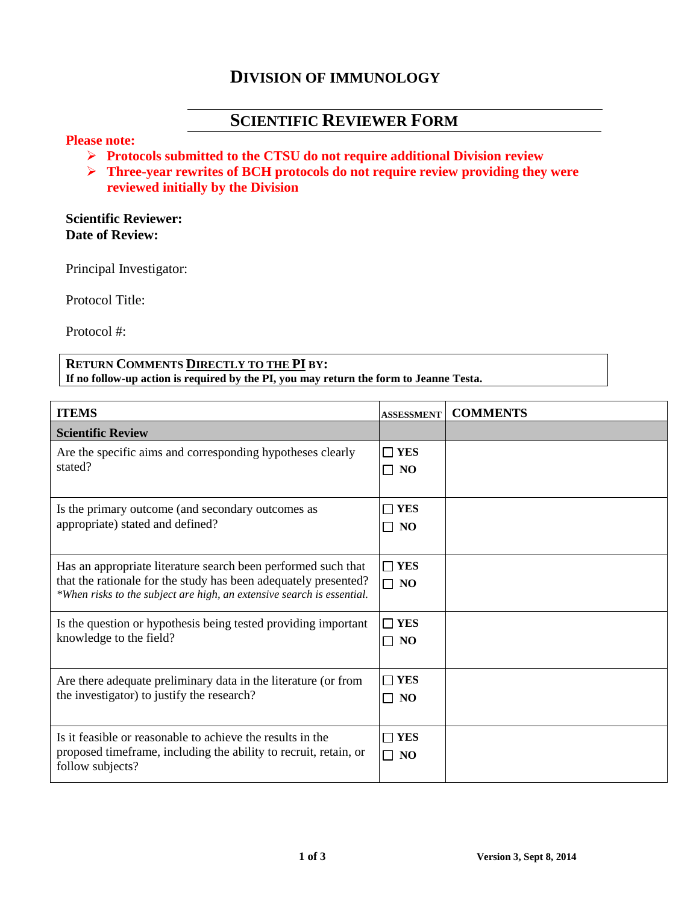# **DIVISION OF IMMUNOLOGY**

# **SCIENTIFIC REVIEWER FORM**

## **Please note:**

- **Protocols submitted to the CTSU do not require additional Division review**
- **Three-year rewrites of BCH protocols do not require review providing they were reviewed initially by the Division**

### **Scientific Reviewer: Date of Review:**

Principal Investigator:

Protocol Title:

Protocol #:

#### **RETURN COMMENTS DIRECTLY TO THE PI BY: If no follow-up action is required by the PI, you may return the form to Jeanne Testa.**

| <b>ITEMS</b>                                                                                                                                                                                               | <b>ASSESSMENT</b>       | <b>COMMENTS</b> |
|------------------------------------------------------------------------------------------------------------------------------------------------------------------------------------------------------------|-------------------------|-----------------|
| <b>Scientific Review</b>                                                                                                                                                                                   |                         |                 |
| Are the specific aims and corresponding hypotheses clearly<br>stated?                                                                                                                                      | $\Box$ YES<br>$\Box$ NO |                 |
| Is the primary outcome (and secondary outcomes as<br>appropriate) stated and defined?                                                                                                                      | $\Box$ YES<br>$\Box$ NO |                 |
| Has an appropriate literature search been performed such that<br>that the rationale for the study has been adequately presented?<br>*When risks to the subject are high, an extensive search is essential. | $\Box$ YES<br>$\Box$ NO |                 |
| Is the question or hypothesis being tested providing important<br>knowledge to the field?                                                                                                                  | $\Box$ YES<br>$\Box$ NO |                 |
| Are there adequate preliminary data in the literature (or from<br>the investigator) to justify the research?                                                                                               | $\Box$ YES<br>$\Box$ NO |                 |
| Is it feasible or reasonable to achieve the results in the<br>proposed timeframe, including the ability to recruit, retain, or<br>follow subjects?                                                         | $\Box$ YES<br>$\Box$ NO |                 |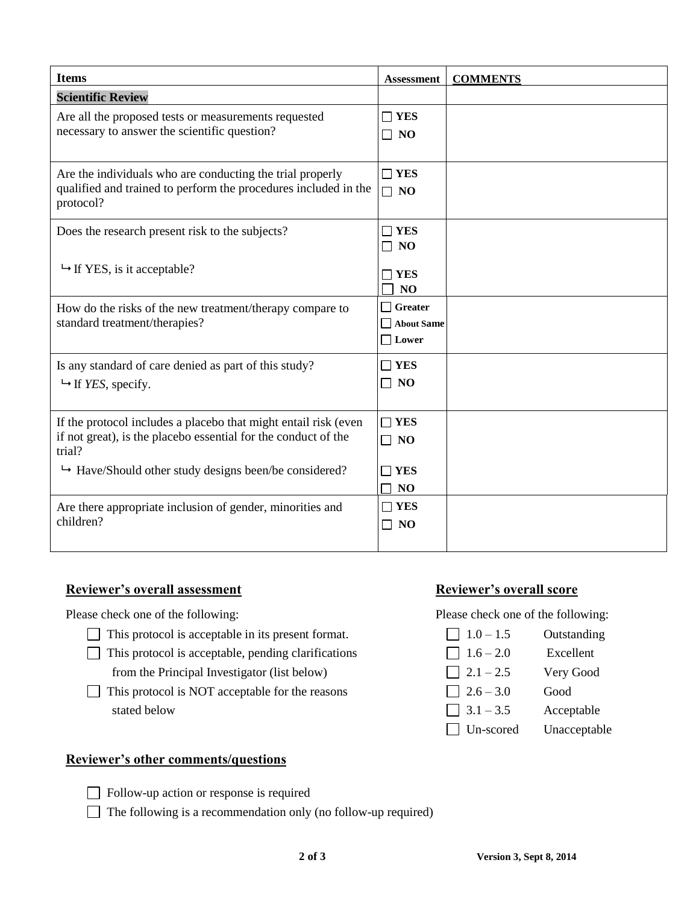| <b>Items</b>                                                                                                                                | <b>Assessment</b>                            | <b>COMMENTS</b> |
|---------------------------------------------------------------------------------------------------------------------------------------------|----------------------------------------------|-----------------|
| <b>Scientific Review</b>                                                                                                                    |                                              |                 |
| Are all the proposed tests or measurements requested<br>necessary to answer the scientific question?                                        | $\Box$ YES<br>$\Box$ NO                      |                 |
| Are the individuals who are conducting the trial properly<br>qualified and trained to perform the procedures included in the<br>protocol?   | $\Box$ YES<br>$\Box$ NO                      |                 |
| Does the research present risk to the subjects?                                                                                             | $\Box$ YES<br>$\Box$ NO                      |                 |
| $\rightarrow$ If YES, is it acceptable?                                                                                                     | $\sqcap$ YES<br>N <sub>O</sub>               |                 |
| How do the risks of the new treatment/therapy compare to<br>standard treatment/therapies?                                                   | $\Box$ Greater<br>About Same<br>$\Box$ Lower |                 |
| Is any standard of care denied as part of this study?<br>$ightharpoonup$ If YES, specify.                                                   | $\Box$ YES<br>$\Box$ NO                      |                 |
| If the protocol includes a placebo that might entail risk (even<br>if not great), is the placebo essential for the conduct of the<br>trial? | $\Box$ YES<br>$\Box$ NO                      |                 |
| $\rightarrow$ Have/Should other study designs been/be considered?                                                                           | <b>YES</b><br>N <sub>O</sub>                 |                 |
| Are there appropriate inclusion of gender, minorities and<br>children?                                                                      | $\Box$ YES<br>$\Box$ NO                      |                 |

### **Reviewer's overall assessment Reviewer's overall score**

Please check one of the following: Please check one of the following:

- This protocol is acceptable in its present format.  $\Box$  1.0 1.5 Outstanding
- This protocol is acceptable, pending clarifications  $\Box$  1.6 2.0 Excellent from the Principal Investigator (list below)  $\Box$  2.1 – 2.5 Very Good
- This protocol is NOT acceptable for the reasons  $\Box$  2.6 3.0 Good stated below  $\boxed{3.1 - 3.5}$  Acceptable

## **Reviewer's other comments/questions**

Follow-up action or response is required

 $\Box$  The following is a recommendation only (no follow-up required)

Un-scored Unacceptable